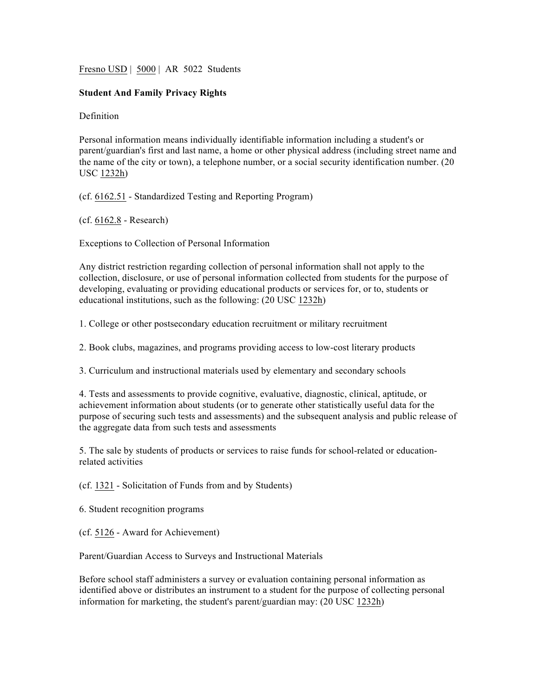Fresno USD | 5000 | AR 5022 Students

## **Student And Family Privacy Rights**

**Definition** 

Personal information means individually identifiable information including a student's or parent/guardian's first and last name, a home or other physical address (including street name and the name of the city or town), a telephone number, or a social security identification number. (20 USC 1232h)

(cf. 6162.51 - Standardized Testing and Reporting Program)

(cf. 6162.8 - Research)

Exceptions to Collection of Personal Information

Any district restriction regarding collection of personal information shall not apply to the collection, disclosure, or use of personal information collected from students for the purpose of developing, evaluating or providing educational products or services for, or to, students or educational institutions, such as the following: (20 USC 1232h)

1. College or other postsecondary education recruitment or military recruitment

2. Book clubs, magazines, and programs providing access to low-cost literary products

3. Curriculum and instructional materials used by elementary and secondary schools

4. Tests and assessments to provide cognitive, evaluative, diagnostic, clinical, aptitude, or achievement information about students (or to generate other statistically useful data for the purpose of securing such tests and assessments) and the subsequent analysis and public release of the aggregate data from such tests and assessments

5. The sale by students of products or services to raise funds for school-related or educationrelated activities

(cf. 1321 - Solicitation of Funds from and by Students)

6. Student recognition programs

(cf. 5126 - Award for Achievement)

Parent/Guardian Access to Surveys and Instructional Materials

Before school staff administers a survey or evaluation containing personal information as identified above or distributes an instrument to a student for the purpose of collecting personal information for marketing, the student's parent/guardian may: (20 USC 1232h)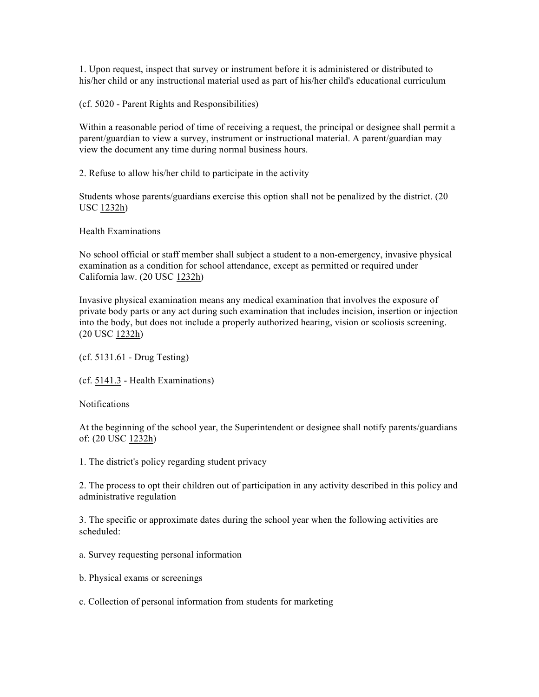1. Upon request, inspect that survey or instrument before it is administered or distributed to his/her child or any instructional material used as part of his/her child's educational curriculum

(cf. 5020 - Parent Rights and Responsibilities)

Within a reasonable period of time of receiving a request, the principal or designee shall permit a parent/guardian to view a survey, instrument or instructional material. A parent/guardian may view the document any time during normal business hours.

2. Refuse to allow his/her child to participate in the activity

Students whose parents/guardians exercise this option shall not be penalized by the district. (20 USC 1232h)

Health Examinations

No school official or staff member shall subject a student to a non-emergency, invasive physical examination as a condition for school attendance, except as permitted or required under California law. (20 USC 1232h)

Invasive physical examination means any medical examination that involves the exposure of private body parts or any act during such examination that includes incision, insertion or injection into the body, but does not include a properly authorized hearing, vision or scoliosis screening. (20 USC 1232h)

(cf. 5131.61 - Drug Testing)

(cf. 5141.3 - Health Examinations)

Notifications

At the beginning of the school year, the Superintendent or designee shall notify parents/guardians of: (20 USC 1232h)

1. The district's policy regarding student privacy

2. The process to opt their children out of participation in any activity described in this policy and administrative regulation

3. The specific or approximate dates during the school year when the following activities are scheduled:

- a. Survey requesting personal information
- b. Physical exams or screenings

c. Collection of personal information from students for marketing